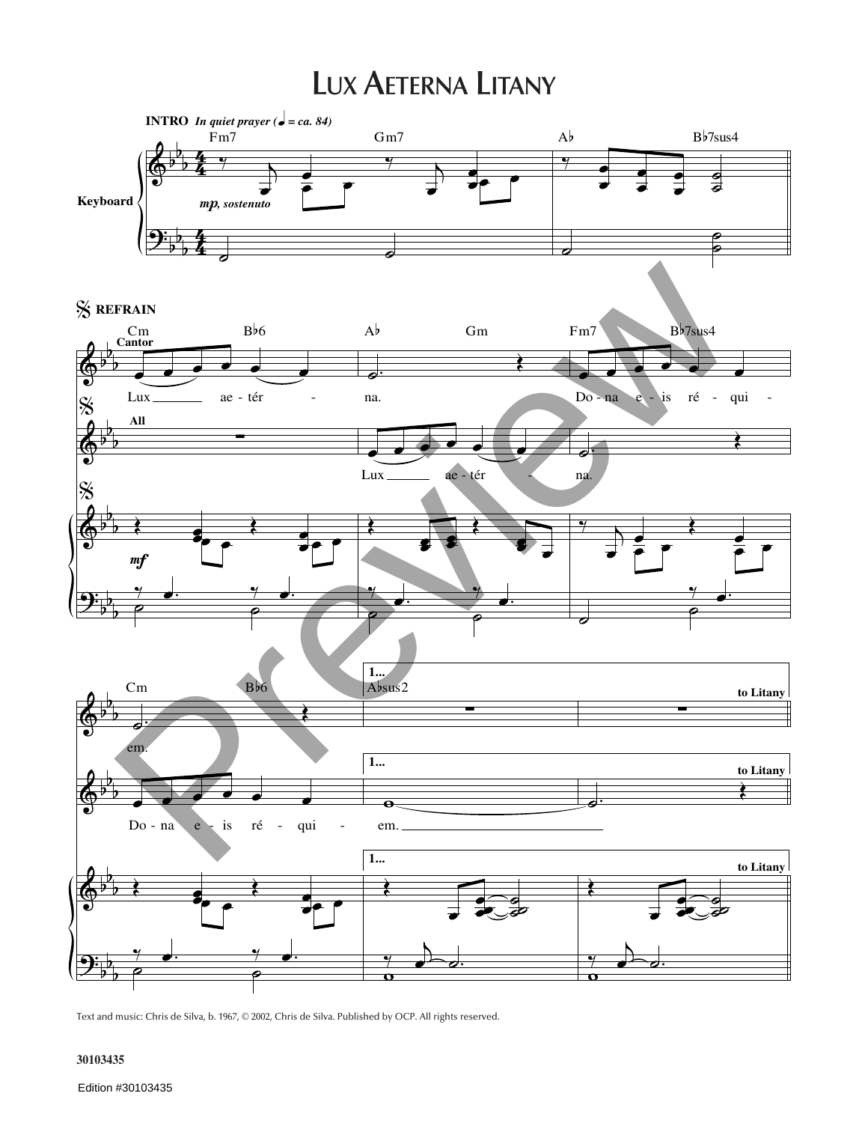## **LUX AETERNA LITANY**



Text and music: Chris de Silva, b. 1967, © 2002, Chris de Silva. Published by OCP. All rights reserved.

## **30103435**